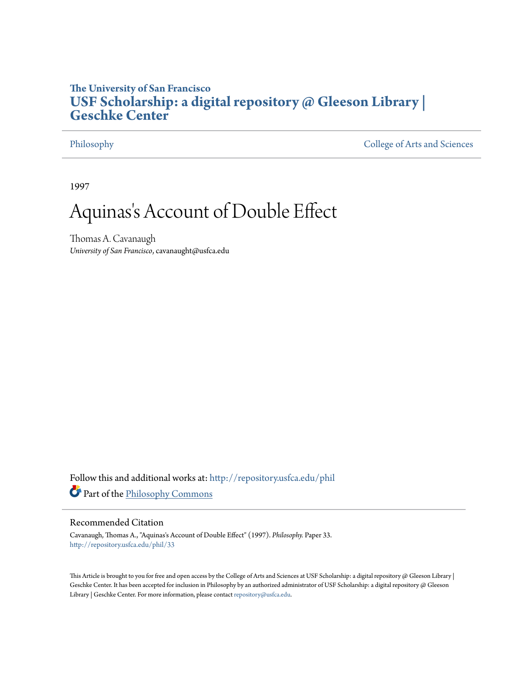## **The University of San Francisco [USF Scholarship: a digital repository @ Gleeson Library |](http://repository.usfca.edu?utm_source=repository.usfca.edu%2Fphil%2F33&utm_medium=PDF&utm_campaign=PDFCoverPages) [Geschke Center](http://repository.usfca.edu?utm_source=repository.usfca.edu%2Fphil%2F33&utm_medium=PDF&utm_campaign=PDFCoverPages)**

[Philosophy](http://repository.usfca.edu/phil?utm_source=repository.usfca.edu%2Fphil%2F33&utm_medium=PDF&utm_campaign=PDFCoverPages) [College of Arts and Sciences](http://repository.usfca.edu/artsci?utm_source=repository.usfca.edu%2Fphil%2F33&utm_medium=PDF&utm_campaign=PDFCoverPages)

1997

# Aquinas 's Account of Double Effect

Thomas A. Cavanaugh *University of San Francisco*, cavanaught@usfca.edu

Follow this and additional works at: [http://repository.usfca.edu/phil](http://repository.usfca.edu/phil?utm_source=repository.usfca.edu%2Fphil%2F33&utm_medium=PDF&utm_campaign=PDFCoverPages) Part of the [Philosophy Commons](http://network.bepress.com/hgg/discipline/525?utm_source=repository.usfca.edu%2Fphil%2F33&utm_medium=PDF&utm_campaign=PDFCoverPages)

#### Recommended Citation

Cavanaugh, Thomas A., "Aquinas's Account of Double Effect" (1997). *Philosophy.* Paper 33. [http://repository.usfca.edu/phil/33](http://repository.usfca.edu/phil/33?utm_source=repository.usfca.edu%2Fphil%2F33&utm_medium=PDF&utm_campaign=PDFCoverPages)

This Article is brought to you for free and open access by the College of Arts and Sciences at USF Scholarship: a digital repository @ Gleeson Library | Geschke Center. It has been accepted for inclusion in Philosophy by an authorized administrator of USF Scholarship: a digital repository @ Gleeson Library | Geschke Center. For more information, please contact [repository@usfca.edu.](mailto:repository@usfca.edu)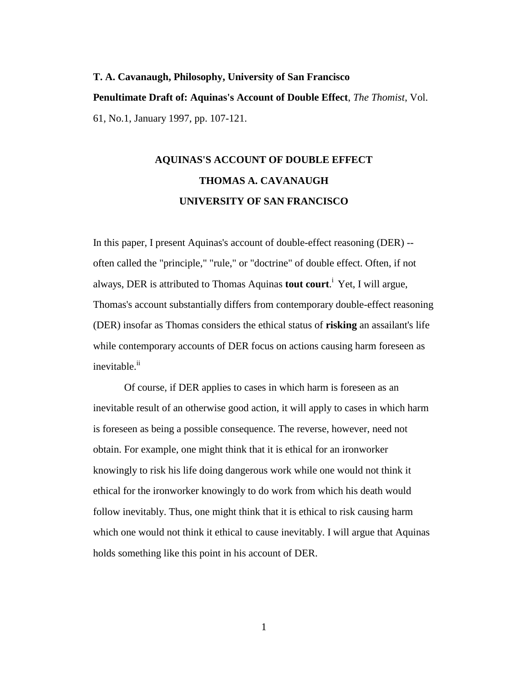# **T. A. Cavanaugh, Philosophy, University of San Francisco Penultimate Draft of: Aquinas's Account of Double Effect**, *The Thomist*, Vol. 61, No.1, January 1997, pp. 107-121.

# **AQUINAS'S ACCOUNT OF DOUBLE EFFECT THOMAS A. CAVANAUGH UNIVERSITY OF SAN FRANCISCO**

In this paper, I present Aquinas's account of double-effect reasoning (DER) - often called the "principle," "rule," or "doctrine" of double effect. Often, if not always, DER is attributed to Thomas Aquinas **tout court**. <sup>i</sup> Yet, I will argue, Thomas's account substantially differs from contemporary double-effect reasoning (DER) insofar as Thomas considers the ethical status of **risking** an assailant's life while contemporary accounts of DER focus on actions causing harm foreseen as inevitable.<sup>ii</sup>

Of course, if DER applies to cases in which harm is foreseen as an inevitable result of an otherwise good action, it will apply to cases in which harm is foreseen as being a possible consequence. The reverse, however, need not obtain. For example, one might think that it is ethical for an ironworker knowingly to risk his life doing dangerous work while one would not think it ethical for the ironworker knowingly to do work from which his death would follow inevitably. Thus, one might think that it is ethical to risk causing harm which one would not think it ethical to cause inevitably. I will argue that Aquinas holds something like this point in his account of DER.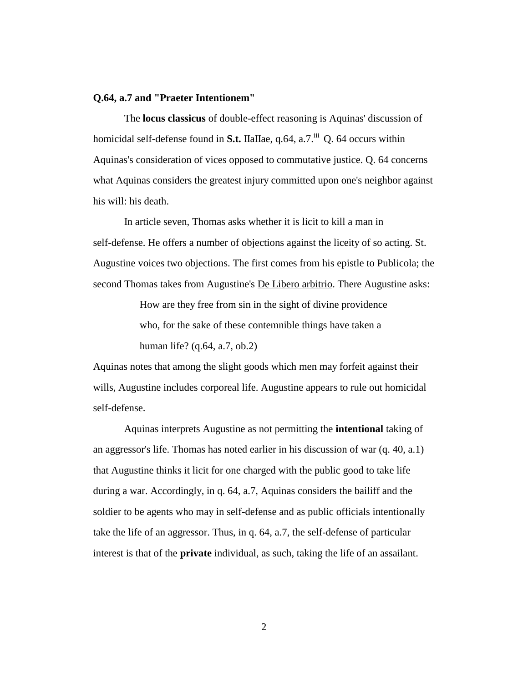#### **Q.64, a.7 and "Praeter Intentionem"**

The **locus classicus** of double-effect reasoning is Aquinas' discussion of homicidal self-defense found in **S.t.** IIaIIae, q.64, a.7.<sup>iii</sup> Q. 64 occurs within Aquinas's consideration of vices opposed to commutative justice. Q. 64 concerns what Aquinas considers the greatest injury committed upon one's neighbor against his will: his death.

In article seven, Thomas asks whether it is licit to kill a man in self-defense. He offers a number of objections against the liceity of so acting. St. Augustine voices two objections. The first comes from his epistle to Publicola; the second Thomas takes from Augustine's De Libero arbitrio. There Augustine asks:

> How are they free from sin in the sight of divine providence who, for the sake of these contemnible things have taken a human life? (q.64, a.7, ob.2)

Aquinas notes that among the slight goods which men may forfeit against their wills, Augustine includes corporeal life. Augustine appears to rule out homicidal self-defense.

Aquinas interprets Augustine as not permitting the **intentional** taking of an aggressor's life. Thomas has noted earlier in his discussion of war (q. 40, a.1) that Augustine thinks it licit for one charged with the public good to take life during a war. Accordingly, in q. 64, a.7, Aquinas considers the bailiff and the soldier to be agents who may in self-defense and as public officials intentionally take the life of an aggressor. Thus, in q. 64, a.7, the self-defense of particular interest is that of the **private** individual, as such, taking the life of an assailant.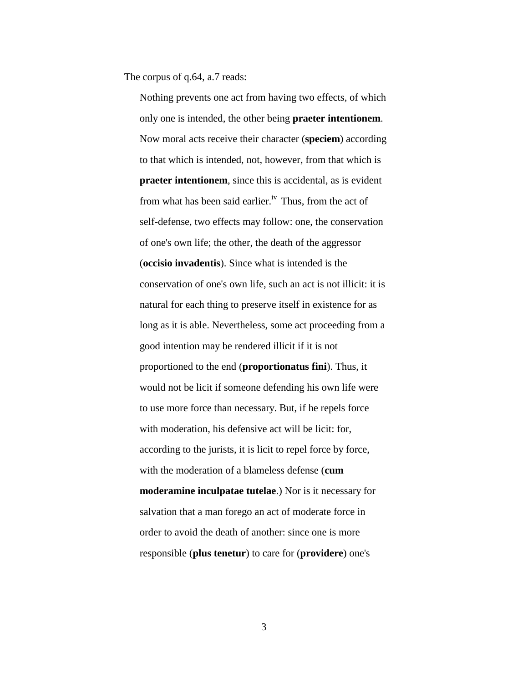The corpus of q.64, a.7 reads:

Nothing prevents one act from having two effects, of which only one is intended, the other being **praeter intentionem**. Now moral acts receive their character (**speciem**) according to that which is intended, not, however, from that which is **praeter intentionem**, since this is accidental, as is evident from what has been said earlier.<sup>iv</sup> Thus, from the act of self-defense, two effects may follow: one, the conservation of one's own life; the other, the death of the aggressor (**occisio invadentis**). Since what is intended is the conservation of one's own life, such an act is not illicit: it is natural for each thing to preserve itself in existence for as long as it is able. Nevertheless, some act proceeding from a good intention may be rendered illicit if it is not proportioned to the end (**proportionatus fini**). Thus, it would not be licit if someone defending his own life were to use more force than necessary. But, if he repels force with moderation, his defensive act will be licit: for, according to the jurists, it is licit to repel force by force, with the moderation of a blameless defense (**cum moderamine inculpatae tutelae**.) Nor is it necessary for salvation that a man forego an act of moderate force in order to avoid the death of another: since one is more responsible (**plus tenetur**) to care for (**providere**) one's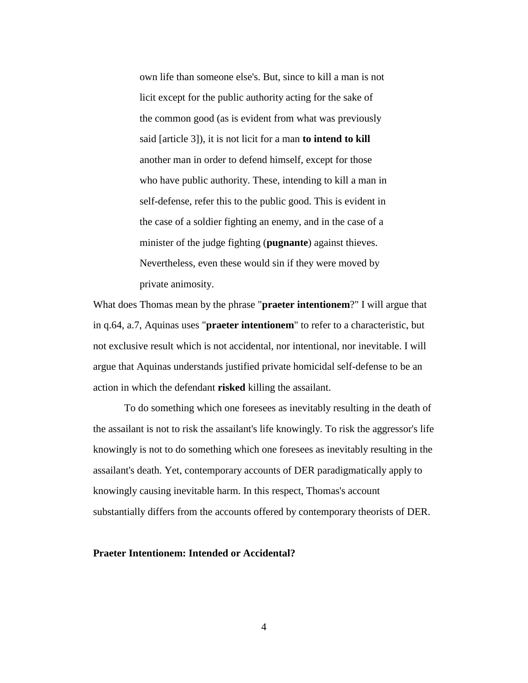own life than someone else's. But, since to kill a man is not licit except for the public authority acting for the sake of the common good (as is evident from what was previously said [article 3]), it is not licit for a man **to intend to kill** another man in order to defend himself, except for those who have public authority. These, intending to kill a man in self-defense, refer this to the public good. This is evident in the case of a soldier fighting an enemy, and in the case of a minister of the judge fighting (**pugnante**) against thieves. Nevertheless, even these would sin if they were moved by private animosity.

What does Thomas mean by the phrase "**praeter intentionem**?" I will argue that in q.64, a.7, Aquinas uses "**praeter intentionem**" to refer to a characteristic, but not exclusive result which is not accidental, nor intentional, nor inevitable. I will argue that Aquinas understands justified private homicidal self-defense to be an action in which the defendant **risked** killing the assailant.

To do something which one foresees as inevitably resulting in the death of the assailant is not to risk the assailant's life knowingly. To risk the aggressor's life knowingly is not to do something which one foresees as inevitably resulting in the assailant's death. Yet, contemporary accounts of DER paradigmatically apply to knowingly causing inevitable harm. In this respect, Thomas's account substantially differs from the accounts offered by contemporary theorists of DER.

#### **Praeter Intentionem: Intended or Accidental?**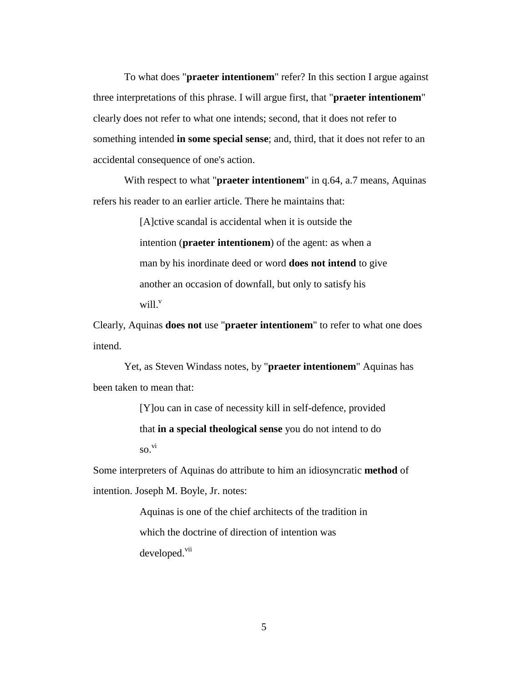To what does "**praeter intentionem**" refer? In this section I argue against three interpretations of this phrase. I will argue first, that "**praeter intentionem**" clearly does not refer to what one intends; second, that it does not refer to something intended **in some special sense**; and, third, that it does not refer to an accidental consequence of one's action.

With respect to what "**praeter intentionem**" in q.64, a.7 means, Aquinas refers his reader to an earlier article. There he maintains that:

> [A]ctive scandal is accidental when it is outside the intention (**praeter intentionem**) of the agent: as when a man by his inordinate deed or word **does not intend** to give another an occasion of downfall, but only to satisfy his will.<sup>v</sup>

Clearly, Aquinas **does not** use "**praeter intentionem**" to refer to what one does intend.

Yet, as Steven Windass notes, by "**praeter intentionem**" Aquinas has been taken to mean that:

> [Y]ou can in case of necessity kill in self-defence, provided that **in a special theological sense** you do not intend to do  $\mathbf{S}$ <sup>vi</sup>

Some interpreters of Aquinas do attribute to him an idiosyncratic **method** of intention. Joseph M. Boyle, Jr. notes:

> Aquinas is one of the chief architects of the tradition in which the doctrine of direction of intention was developed.<sup>vii</sup>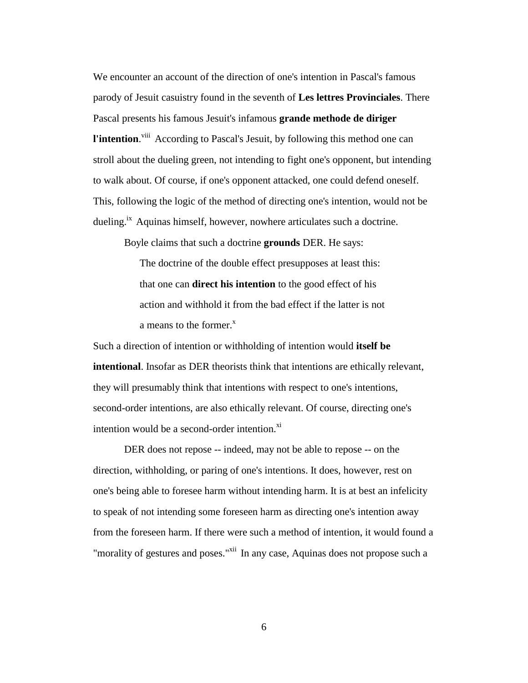We encounter an account of the direction of one's intention in Pascal's famous parody of Jesuit casuistry found in the seventh of **Les lettres Provinciales**. There Pascal presents his famous Jesuit's infamous **grande methode de diriger**  l'intention.<sup>viii</sup> According to Pascal's Jesuit, by following this method one can stroll about the dueling green, not intending to fight one's opponent, but intending to walk about. Of course, if one's opponent attacked, one could defend oneself. This, following the logic of the method of directing one's intention, would not be dueling.<sup>ix</sup> Aquinas himself, however, nowhere articulates such a doctrine.

Boyle claims that such a doctrine **grounds** DER. He says:

The doctrine of the double effect presupposes at least this: that one can **direct his intention** to the good effect of his action and withhold it from the bad effect if the latter is not a means to the former. $^x$ 

Such a direction of intention or withholding of intention would **itself be intentional**. Insofar as DER theorists think that intentions are ethically relevant, they will presumably think that intentions with respect to one's intentions, second-order intentions, are also ethically relevant. Of course, directing one's intention would be a second-order intention. $\frac{xi}{x}$ 

DER does not repose -- indeed, may not be able to repose -- on the direction, withholding, or paring of one's intentions. It does, however, rest on one's being able to foresee harm without intending harm. It is at best an infelicity to speak of not intending some foreseen harm as directing one's intention away from the foreseen harm. If there were such a method of intention, it would found a "morality of gestures and poses."<sup>xii</sup> In any case, Aquinas does not propose such a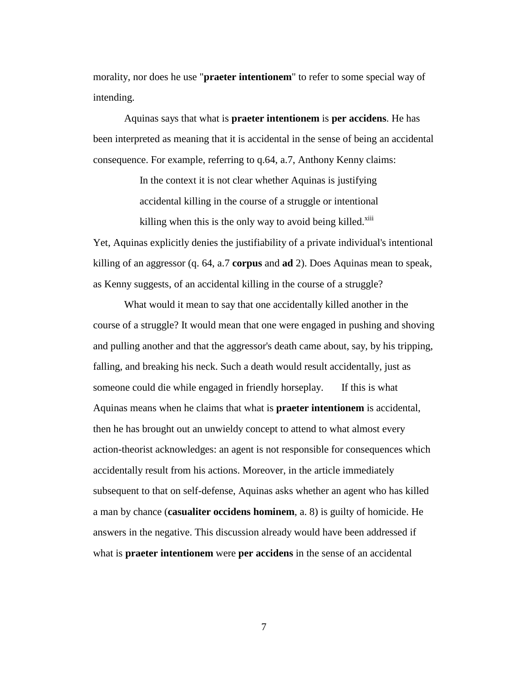morality, nor does he use "**praeter intentionem**" to refer to some special way of intending.

Aquinas says that what is **praeter intentionem** is **per accidens**. He has been interpreted as meaning that it is accidental in the sense of being an accidental consequence. For example, referring to q.64, a.7, Anthony Kenny claims:

> In the context it is not clear whether Aquinas is justifying accidental killing in the course of a struggle or intentional killing when this is the only way to avoid being killed. $x<sup>iii</sup>$

Yet, Aquinas explicitly denies the justifiability of a private individual's intentional killing of an aggressor (q. 64, a.7 **corpus** and **ad** 2). Does Aquinas mean to speak, as Kenny suggests, of an accidental killing in the course of a struggle?

What would it mean to say that one accidentally killed another in the course of a struggle? It would mean that one were engaged in pushing and shoving and pulling another and that the aggressor's death came about, say, by his tripping, falling, and breaking his neck. Such a death would result accidentally, just as someone could die while engaged in friendly horseplay. If this is what Aquinas means when he claims that what is **praeter intentionem** is accidental, then he has brought out an unwieldy concept to attend to what almost every action-theorist acknowledges: an agent is not responsible for consequences which accidentally result from his actions. Moreover, in the article immediately subsequent to that on self-defense, Aquinas asks whether an agent who has killed a man by chance (**casualiter occidens hominem**, a. 8) is guilty of homicide. He answers in the negative. This discussion already would have been addressed if what is **praeter intentionem** were **per accidens** in the sense of an accidental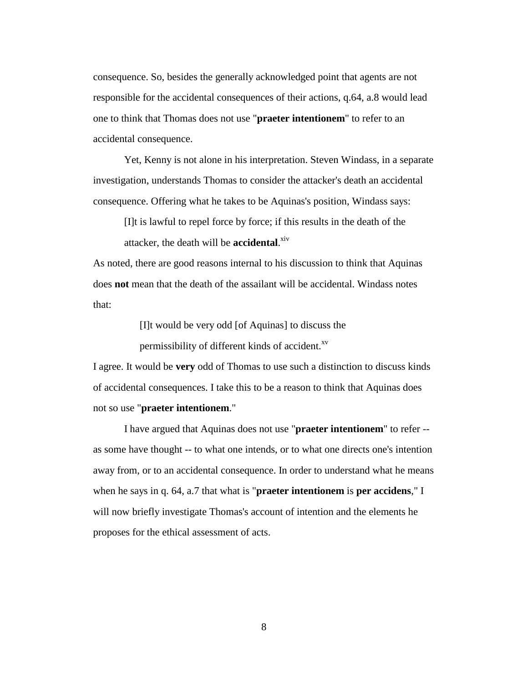consequence. So, besides the generally acknowledged point that agents are not responsible for the accidental consequences of their actions, q.64, a.8 would lead one to think that Thomas does not use "**praeter intentionem**" to refer to an accidental consequence.

Yet, Kenny is not alone in his interpretation. Steven Windass, in a separate investigation, understands Thomas to consider the attacker's death an accidental consequence. Offering what he takes to be Aquinas's position, Windass says:

[I]t is lawful to repel force by force; if this results in the death of the attacker, the death will be **accidental**. xiv

As noted, there are good reasons internal to his discussion to think that Aquinas does **not** mean that the death of the assailant will be accidental. Windass notes that:

[I]t would be very odd [of Aquinas] to discuss the

permissibility of different kinds of accident.<sup>xv</sup>

I agree. It would be **very** odd of Thomas to use such a distinction to discuss kinds of accidental consequences. I take this to be a reason to think that Aquinas does not so use "**praeter intentionem**."

I have argued that Aquinas does not use "**praeter intentionem**" to refer - as some have thought -- to what one intends, or to what one directs one's intention away from, or to an accidental consequence. In order to understand what he means when he says in q. 64, a.7 that what is "**praeter intentionem** is **per accidens**," I will now briefly investigate Thomas's account of intention and the elements he proposes for the ethical assessment of acts.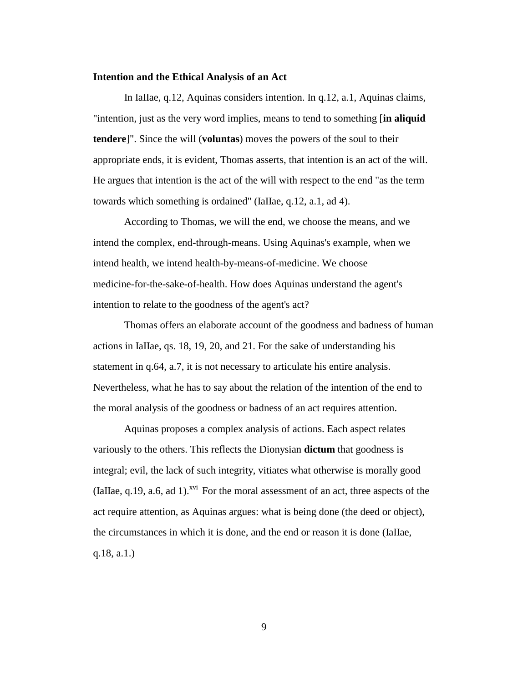#### **Intention and the Ethical Analysis of an Act**

In IaIIae, q.12, Aquinas considers intention. In q.12, a.1, Aquinas claims, "intention, just as the very word implies, means to tend to something [**in aliquid tendere**]". Since the will (**voluntas**) moves the powers of the soul to their appropriate ends, it is evident, Thomas asserts, that intention is an act of the will. He argues that intention is the act of the will with respect to the end "as the term towards which something is ordained" (IaIIae, q.12, a.1, ad 4).

According to Thomas, we will the end, we choose the means, and we intend the complex, end-through-means. Using Aquinas's example, when we intend health, we intend health-by-means-of-medicine. We choose medicine-for-the-sake-of-health. How does Aquinas understand the agent's intention to relate to the goodness of the agent's act?

Thomas offers an elaborate account of the goodness and badness of human actions in IaIIae, qs. 18, 19, 20, and 21. For the sake of understanding his statement in q.64, a.7, it is not necessary to articulate his entire analysis. Nevertheless, what he has to say about the relation of the intention of the end to the moral analysis of the goodness or badness of an act requires attention.

Aquinas proposes a complex analysis of actions. Each aspect relates variously to the others. This reflects the Dionysian **dictum** that goodness is integral; evil, the lack of such integrity, vitiates what otherwise is morally good (IaIIae,  $q.19$ ,  $q.6$ , ad 1).<sup> $xvi$ </sup> For the moral assessment of an act, three aspects of the act require attention, as Aquinas argues: what is being done (the deed or object), the circumstances in which it is done, and the end or reason it is done (IaIIae, q.18, a.1.)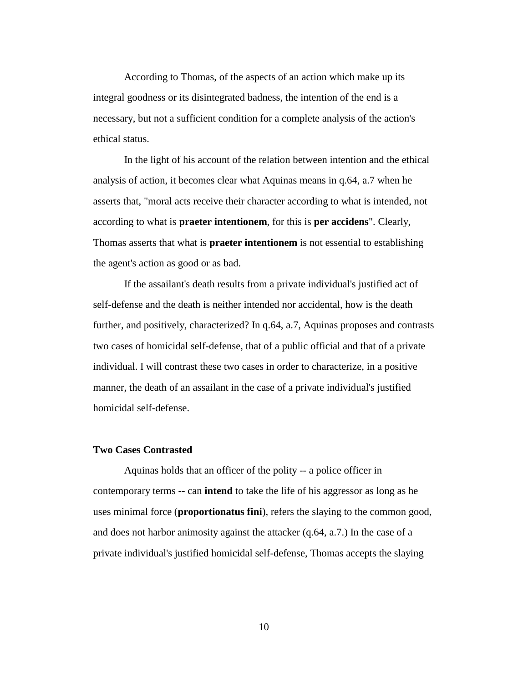According to Thomas, of the aspects of an action which make up its integral goodness or its disintegrated badness, the intention of the end is a necessary, but not a sufficient condition for a complete analysis of the action's ethical status.

In the light of his account of the relation between intention and the ethical analysis of action, it becomes clear what Aquinas means in q.64, a.7 when he asserts that, "moral acts receive their character according to what is intended, not according to what is **praeter intentionem**, for this is **per accidens**". Clearly, Thomas asserts that what is **praeter intentionem** is not essential to establishing the agent's action as good or as bad.

If the assailant's death results from a private individual's justified act of self-defense and the death is neither intended nor accidental, how is the death further, and positively, characterized? In q.64, a.7, Aquinas proposes and contrasts two cases of homicidal self-defense, that of a public official and that of a private individual. I will contrast these two cases in order to characterize, in a positive manner, the death of an assailant in the case of a private individual's justified homicidal self-defense.

#### **Two Cases Contrasted**

Aquinas holds that an officer of the polity -- a police officer in contemporary terms -- can **intend** to take the life of his aggressor as long as he uses minimal force (**proportionatus fini**), refers the slaying to the common good, and does not harbor animosity against the attacker (q.64, a.7.) In the case of a private individual's justified homicidal self-defense, Thomas accepts the slaying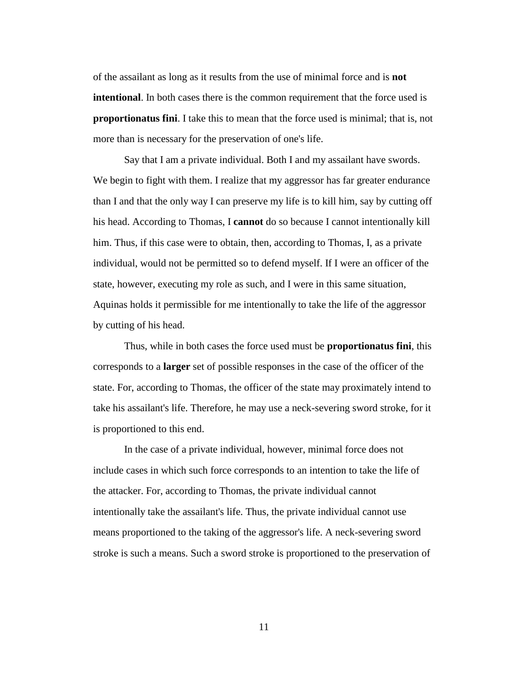of the assailant as long as it results from the use of minimal force and is **not intentional**. In both cases there is the common requirement that the force used is **proportionatus fini**. I take this to mean that the force used is minimal; that is, not more than is necessary for the preservation of one's life.

Say that I am a private individual. Both I and my assailant have swords. We begin to fight with them. I realize that my aggressor has far greater endurance than I and that the only way I can preserve my life is to kill him, say by cutting off his head. According to Thomas, I **cannot** do so because I cannot intentionally kill him. Thus, if this case were to obtain, then, according to Thomas, I, as a private individual, would not be permitted so to defend myself. If I were an officer of the state, however, executing my role as such, and I were in this same situation, Aquinas holds it permissible for me intentionally to take the life of the aggressor by cutting of his head.

Thus, while in both cases the force used must be **proportionatus fini**, this corresponds to a **larger** set of possible responses in the case of the officer of the state. For, according to Thomas, the officer of the state may proximately intend to take his assailant's life. Therefore, he may use a neck-severing sword stroke, for it is proportioned to this end.

In the case of a private individual, however, minimal force does not include cases in which such force corresponds to an intention to take the life of the attacker. For, according to Thomas, the private individual cannot intentionally take the assailant's life. Thus, the private individual cannot use means proportioned to the taking of the aggressor's life. A neck-severing sword stroke is such a means. Such a sword stroke is proportioned to the preservation of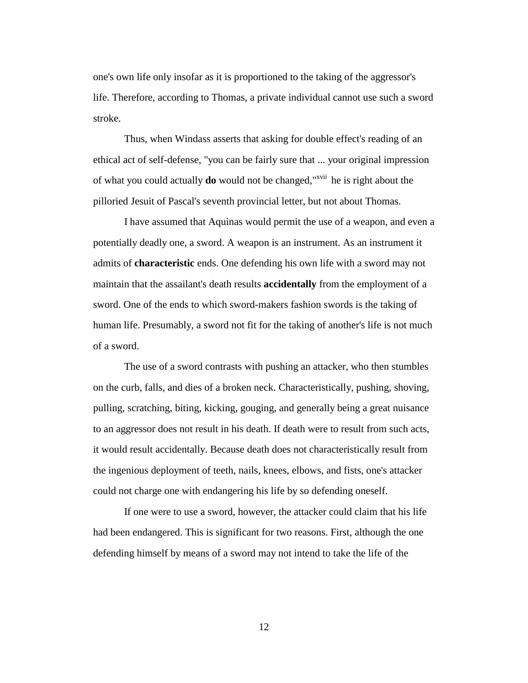one's own life only insofar as it is proportioned to the taking of the aggressor's life. Therefore, according to Thomas, a private individual cannot use such a sword stroke.

Thus, when Windass asserts that asking for double effect's reading of an ethical act of self-defense, "you can be fairly sure that ... your original impression of what you could actually **do** would not be changed,"xvii he is right about the pilloried Jesuit of Pascal's seventh provincial letter, but not about Thomas.

I have assumed that Aquinas would permit the use of a weapon, and even a potentially deadly one, a sword. A weapon is an instrument. As an instrument it admits of **characteristic** ends. One defending his own life with a sword may not maintain that the assailant's death results **accidentally** from the employment of a sword. One of the ends to which sword-makers fashion swords is the taking of human life. Presumably, a sword not fit for the taking of another's life is not much of a sword.

The use of a sword contrasts with pushing an attacker, who then stumbles on the curb, falls, and dies of a broken neck. Characteristically, pushing, shoving, pulling, scratching, biting, kicking, gouging, and generally being a great nuisance to an aggressor does not result in his death. If death were to result from such acts, it would result accidentally. Because death does not characteristically result from the ingenious deployment of teeth, nails, knees, elbows, and fists, one's attacker could not charge one with endangering his life by so defending oneself.

If one were to use a sword, however, the attacker could claim that his life had been endangered. This is significant for two reasons. First, although the one defending himself by means of a sword may not intend to take the life of the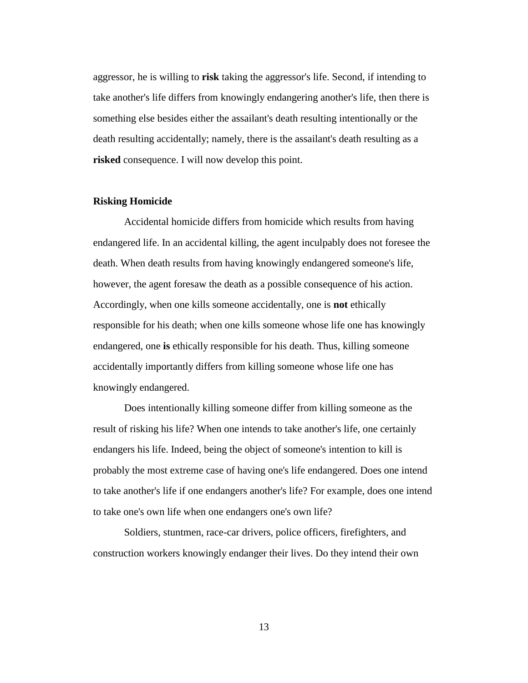aggressor, he is willing to **risk** taking the aggressor's life. Second, if intending to take another's life differs from knowingly endangering another's life, then there is something else besides either the assailant's death resulting intentionally or the death resulting accidentally; namely, there is the assailant's death resulting as a **risked** consequence. I will now develop this point.

#### **Risking Homicide**

Accidental homicide differs from homicide which results from having endangered life. In an accidental killing, the agent inculpably does not foresee the death. When death results from having knowingly endangered someone's life, however, the agent foresaw the death as a possible consequence of his action. Accordingly, when one kills someone accidentally, one is **not** ethically responsible for his death; when one kills someone whose life one has knowingly endangered, one **is** ethically responsible for his death. Thus, killing someone accidentally importantly differs from killing someone whose life one has knowingly endangered.

Does intentionally killing someone differ from killing someone as the result of risking his life? When one intends to take another's life, one certainly endangers his life. Indeed, being the object of someone's intention to kill is probably the most extreme case of having one's life endangered. Does one intend to take another's life if one endangers another's life? For example, does one intend to take one's own life when one endangers one's own life?

Soldiers, stuntmen, race-car drivers, police officers, firefighters, and construction workers knowingly endanger their lives. Do they intend their own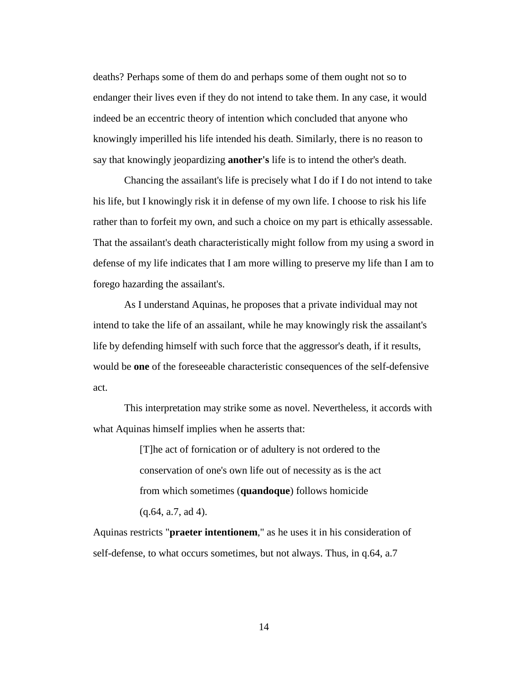deaths? Perhaps some of them do and perhaps some of them ought not so to endanger their lives even if they do not intend to take them. In any case, it would indeed be an eccentric theory of intention which concluded that anyone who knowingly imperilled his life intended his death. Similarly, there is no reason to say that knowingly jeopardizing **another's** life is to intend the other's death.

Chancing the assailant's life is precisely what I do if I do not intend to take his life, but I knowingly risk it in defense of my own life. I choose to risk his life rather than to forfeit my own, and such a choice on my part is ethically assessable. That the assailant's death characteristically might follow from my using a sword in defense of my life indicates that I am more willing to preserve my life than I am to forego hazarding the assailant's.

As I understand Aquinas, he proposes that a private individual may not intend to take the life of an assailant, while he may knowingly risk the assailant's life by defending himself with such force that the aggressor's death, if it results, would be **one** of the foreseeable characteristic consequences of the self-defensive act.

This interpretation may strike some as novel. Nevertheless, it accords with what Aquinas himself implies when he asserts that:

> [T]he act of fornication or of adultery is not ordered to the conservation of one's own life out of necessity as is the act from which sometimes (**quandoque**) follows homicide (q.64, a.7, ad 4).

Aquinas restricts "**praeter intentionem**," as he uses it in his consideration of self-defense, to what occurs sometimes, but not always. Thus, in q.64, a.7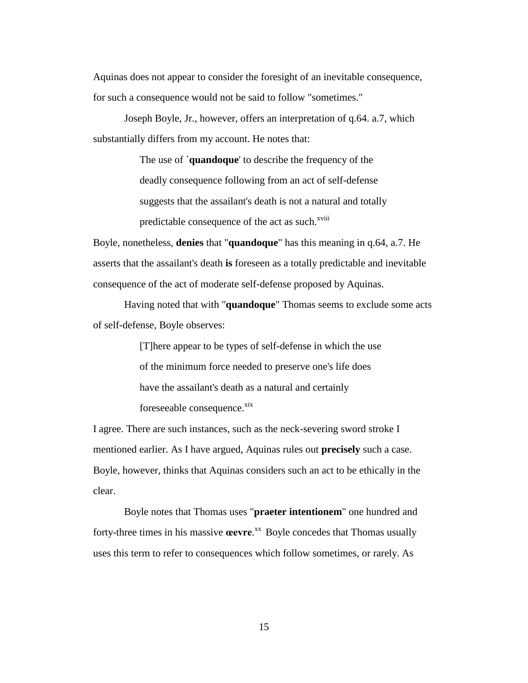Aquinas does not appear to consider the foresight of an inevitable consequence, for such a consequence would not be said to follow "sometimes."

Joseph Boyle, Jr., however, offers an interpretation of q.64. a.7, which substantially differs from my account. He notes that:

> The use of `**quandoque**' to describe the frequency of the deadly consequence following from an act of self-defense suggests that the assailant's death is not a natural and totally predictable consequence of the act as such.<sup>xviii</sup>

Boyle, nonetheless, **denies** that "**quandoque**" has this meaning in q.64, a.7. He asserts that the assailant's death **is** foreseen as a totally predictable and inevitable consequence of the act of moderate self-defense proposed by Aquinas.

Having noted that with "**quandoque**" Thomas seems to exclude some acts of self-defense, Boyle observes:

> [T]here appear to be types of self-defense in which the use of the minimum force needed to preserve one's life does have the assailant's death as a natural and certainly foreseeable consequence.<sup>xix</sup>

I agree. There are such instances, such as the neck-severing sword stroke I mentioned earlier. As I have argued, Aquinas rules out **precisely** such a case. Boyle, however, thinks that Aquinas considers such an act to be ethically in the clear.

Boyle notes that Thomas uses "**praeter intentionem**" one hundred and forty-three times in his massive **œevre**. xx Boyle concedes that Thomas usually uses this term to refer to consequences which follow sometimes, or rarely. As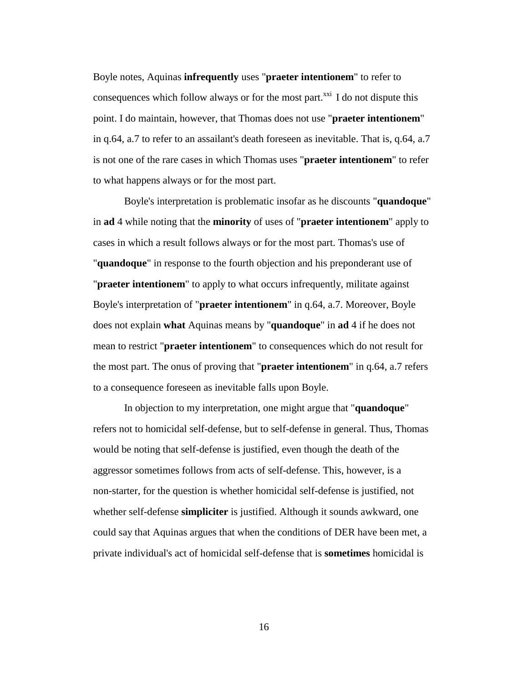Boyle notes, Aquinas **infrequently** uses "**praeter intentionem**" to refer to consequences which follow always or for the most part.<sup> $xxi$ </sup> I do not dispute this point. I do maintain, however, that Thomas does not use "**praeter intentionem**" in q.64, a.7 to refer to an assailant's death foreseen as inevitable. That is, q.64, a.7 is not one of the rare cases in which Thomas uses "**praeter intentionem**" to refer to what happens always or for the most part.

Boyle's interpretation is problematic insofar as he discounts "**quandoque**" in **ad** 4 while noting that the **minority** of uses of "**praeter intentionem**" apply to cases in which a result follows always or for the most part. Thomas's use of "**quandoque**" in response to the fourth objection and his preponderant use of "**praeter intentionem**" to apply to what occurs infrequently, militate against Boyle's interpretation of "**praeter intentionem**" in q.64, a.7. Moreover, Boyle does not explain **what** Aquinas means by "**quandoque**" in **ad** 4 if he does not mean to restrict "**praeter intentionem**" to consequences which do not result for the most part. The onus of proving that "**praeter intentionem**" in q.64, a.7 refers to a consequence foreseen as inevitable falls upon Boyle.

In objection to my interpretation, one might argue that "**quandoque**" refers not to homicidal self-defense, but to self-defense in general. Thus, Thomas would be noting that self-defense is justified, even though the death of the aggressor sometimes follows from acts of self-defense. This, however, is a non-starter, for the question is whether homicidal self-defense is justified, not whether self-defense **simpliciter** is justified. Although it sounds awkward, one could say that Aquinas argues that when the conditions of DER have been met, a private individual's act of homicidal self-defense that is **sometimes** homicidal is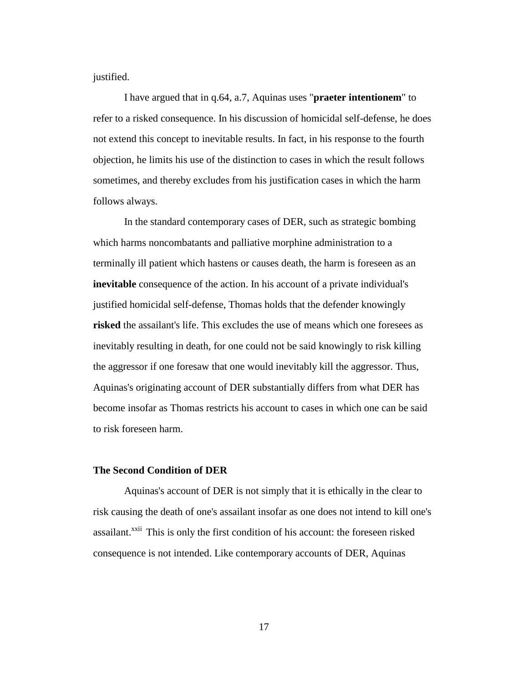justified.

I have argued that in q.64, a.7, Aquinas uses "**praeter intentionem**" to refer to a risked consequence. In his discussion of homicidal self-defense, he does not extend this concept to inevitable results. In fact, in his response to the fourth objection, he limits his use of the distinction to cases in which the result follows sometimes, and thereby excludes from his justification cases in which the harm follows always.

In the standard contemporary cases of DER, such as strategic bombing which harms noncombatants and palliative morphine administration to a terminally ill patient which hastens or causes death, the harm is foreseen as an **inevitable** consequence of the action. In his account of a private individual's justified homicidal self-defense, Thomas holds that the defender knowingly **risked** the assailant's life. This excludes the use of means which one foresees as inevitably resulting in death, for one could not be said knowingly to risk killing the aggressor if one foresaw that one would inevitably kill the aggressor. Thus, Aquinas's originating account of DER substantially differs from what DER has become insofar as Thomas restricts his account to cases in which one can be said to risk foreseen harm.

### **The Second Condition of DER**

Aquinas's account of DER is not simply that it is ethically in the clear to risk causing the death of one's assailant insofar as one does not intend to kill one's assailant.<sup>xxii</sup> This is only the first condition of his account: the foreseen risked consequence is not intended. Like contemporary accounts of DER, Aquinas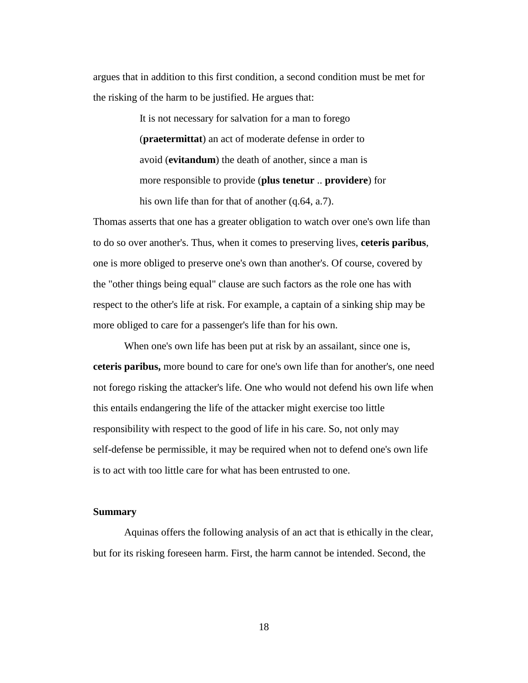argues that in addition to this first condition, a second condition must be met for the risking of the harm to be justified. He argues that:

> It is not necessary for salvation for a man to forego (**praetermittat**) an act of moderate defense in order to avoid (**evitandum**) the death of another, since a man is more responsible to provide (**plus tenetur** .. **providere**) for his own life than for that of another (q.64, a.7).

Thomas asserts that one has a greater obligation to watch over one's own life than to do so over another's. Thus, when it comes to preserving lives, **ceteris paribus**, one is more obliged to preserve one's own than another's. Of course, covered by the "other things being equal" clause are such factors as the role one has with respect to the other's life at risk. For example, a captain of a sinking ship may be more obliged to care for a passenger's life than for his own.

When one's own life has been put at risk by an assailant, since one is, **ceteris paribus,** more bound to care for one's own life than for another's, one need not forego risking the attacker's life. One who would not defend his own life when this entails endangering the life of the attacker might exercise too little responsibility with respect to the good of life in his care. So, not only may self-defense be permissible, it may be required when not to defend one's own life is to act with too little care for what has been entrusted to one.

### **Summary**

Aquinas offers the following analysis of an act that is ethically in the clear, but for its risking foreseen harm. First, the harm cannot be intended. Second, the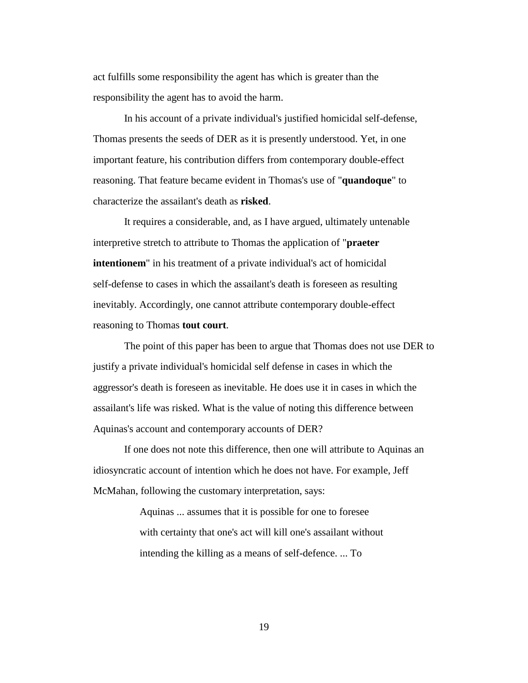act fulfills some responsibility the agent has which is greater than the responsibility the agent has to avoid the harm.

In his account of a private individual's justified homicidal self-defense, Thomas presents the seeds of DER as it is presently understood. Yet, in one important feature, his contribution differs from contemporary double-effect reasoning. That feature became evident in Thomas's use of "**quandoque**" to characterize the assailant's death as **risked**.

It requires a considerable, and, as I have argued, ultimately untenable interpretive stretch to attribute to Thomas the application of "**praeter intentionem**" in his treatment of a private individual's act of homicidal self-defense to cases in which the assailant's death is foreseen as resulting inevitably. Accordingly, one cannot attribute contemporary double-effect reasoning to Thomas **tout court**.

The point of this paper has been to argue that Thomas does not use DER to justify a private individual's homicidal self defense in cases in which the aggressor's death is foreseen as inevitable. He does use it in cases in which the assailant's life was risked. What is the value of noting this difference between Aquinas's account and contemporary accounts of DER?

If one does not note this difference, then one will attribute to Aquinas an idiosyncratic account of intention which he does not have. For example, Jeff McMahan, following the customary interpretation, says:

> Aquinas ... assumes that it is possible for one to foresee with certainty that one's act will kill one's assailant without intending the killing as a means of self-defence. ... To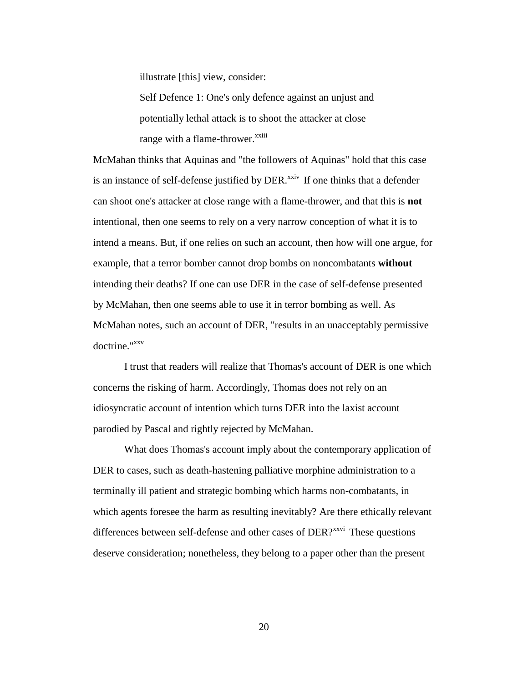illustrate [this] view, consider:

Self Defence 1: One's only defence against an unjust and potentially lethal attack is to shoot the attacker at close range with a flame-thrower.<sup>xxiii</sup>

McMahan thinks that Aquinas and "the followers of Aquinas" hold that this case is an instance of self-defense justified by DER.<sup>xxiv</sup> If one thinks that a defender can shoot one's attacker at close range with a flame-thrower, and that this is **not** intentional, then one seems to rely on a very narrow conception of what it is to intend a means. But, if one relies on such an account, then how will one argue, for example, that a terror bomber cannot drop bombs on noncombatants **without** intending their deaths? If one can use DER in the case of self-defense presented by McMahan, then one seems able to use it in terror bombing as well. As McMahan notes, such an account of DER, "results in an unacceptably permissive doctrine."<sup>xxv</sup>

I trust that readers will realize that Thomas's account of DER is one which concerns the risking of harm. Accordingly, Thomas does not rely on an idiosyncratic account of intention which turns DER into the laxist account parodied by Pascal and rightly rejected by McMahan.

What does Thomas's account imply about the contemporary application of DER to cases, such as death-hastening palliative morphine administration to a terminally ill patient and strategic bombing which harms non-combatants, in which agents foresee the harm as resulting inevitably? Are there ethically relevant differences between self-defense and other cases of  $DER$ <sup> $xxyi$ </sup> These questions deserve consideration; nonetheless, they belong to a paper other than the present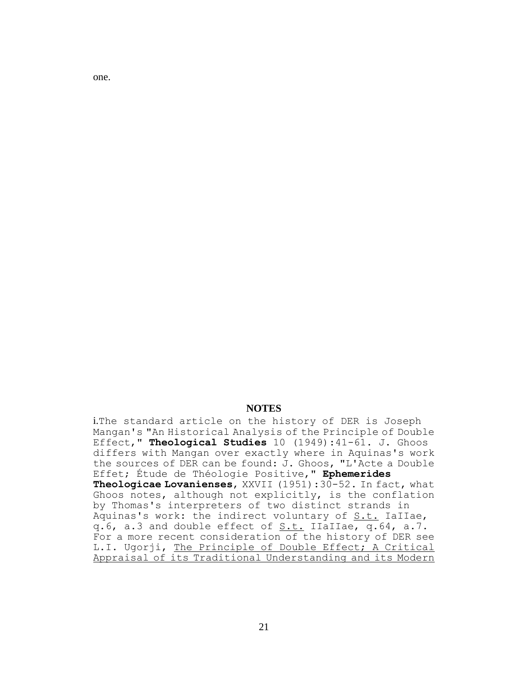one.

### **NOTES**

i.The standard article on the history of DER is Joseph Mangan's "An Historical Analysis of the Principle of Double Effect," **Theological Studies** 10 (1949):41-61. J. Ghoos differs with Mangan over exactly where in Aquinas's work the sources of DER can be found: J. Ghoos, "L'Acte a Double Effet; Étude de Théologie Positive," **Ephemerides Theologicae Lovanienses**, XXVII (1951):30-52. In fact, what Ghoos notes, although not explicitly, is the conflation by Thomas's interpreters of two distinct strands in Aquinas's work: the indirect voluntary of  $S.t.$  IaIIae, q.6, a.3 and double effect of S.t. IIaIIae, q.64, a.7. For a more recent consideration of the history of DER see L.I. Ugorji, The Principle of Double Effect; A Critical Appraisal of its Traditional Understanding and its Modern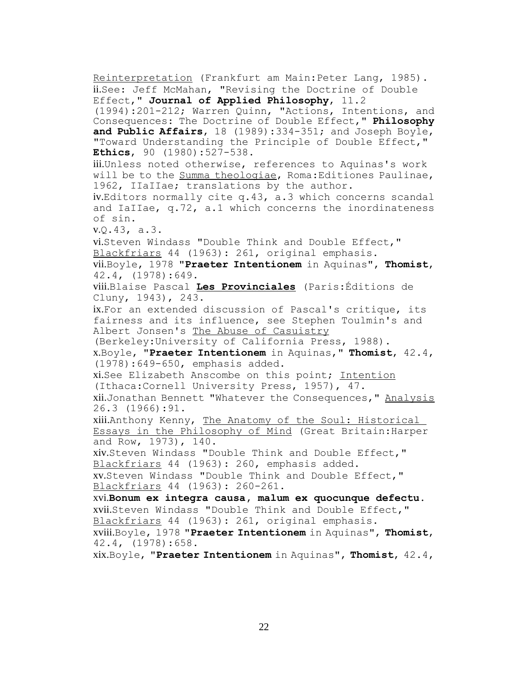Reinterpretation (Frankfurt am Main:Peter Lang, 1985). ii.See: Jeff McMahan, "Revising the Doctrine of Double Effect," **Journal of Applied Philosophy**, 11.2 (1994):201-212; Warren Quinn, "Actions, Intentions, and Consequences: The Doctrine of Double Effect," **Philosophy and Public Affairs**, 18 (1989):334-351; and Joseph Boyle, "Toward Understanding the Principle of Double Effect," **Ethics**, 90 (1980):527-538. iii.Unless noted otherwise, references to Aquinas's work will be to the Summa theologiae, Roma:Editiones Paulinae, 1962, IIaIIae; translations by the author. iv.Editors normally cite q.43, a.3 which concerns scandal and IaIIae, q.72, a.1 which concerns the inordinateness of sin. v.Q.43, a.3. vi.Steven Windass "Double Think and Double Effect," Blackfriars 44 (1963): 261, original emphasis. vii.Boyle, 1978 "**Praeter Intentionem** in Aquinas", **Thomist**, 42.4, (1978):649. viii.Blaise Pascal **Les Provinciales** (Paris:Éditions de Cluny, 1943), 243. ix.For an extended discussion of Pascal's critique, its fairness and its influence, see Stephen Toulmin's and Albert Jonsen's The Abuse of Casuistry (Berkeley:University of California Press, 1988). x.Boyle, "**Praeter Intentionem** in Aquinas," **Thomist**, 42.4, (1978):649-650, emphasis added. xi.See Elizabeth Anscombe on this point; Intention (Ithaca:Cornell University Press, 1957), 47. xii.Jonathan Bennett "Whatever the Consequences," Analysis 26.3 (1966):91. xiii.Anthony Kenny, The Anatomy of the Soul: Historical Essays in the Philosophy of Mind (Great Britain:Harper and Row, 1973), 140. xiv.Steven Windass "Double Think and Double Effect," Blackfriars 44 (1963): 260, emphasis added. xv.Steven Windass "Double Think and Double Effect," Blackfriars 44 (1963): 260-261. xvi.**Bonum ex integra causa, malum ex quocunque defectu**. xvii.Steven Windass "Double Think and Double Effect," Blackfriars 44 (1963): 261, original emphasis. xviii.Boyle, 1978 "**Praeter Intentionem** in Aquinas", **Thomist**, 42.4, (1978):658.

xix.Boyle, "**Praeter Intentionem** in Aquinas", **Thomist**, 42.4,